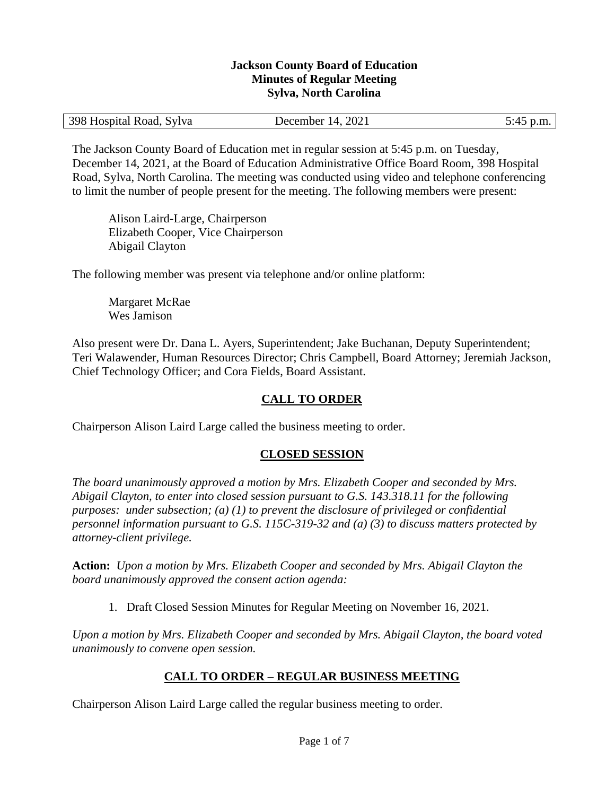#### **Jackson County Board of Education Minutes of Regular Meeting Sylva, North Carolina**

| 398 Hospital Road, Sylva | December 14, 2021 |  |
|--------------------------|-------------------|--|
|                          | ______            |  |

The Jackson County Board of Education met in regular session at 5:45 p.m. on Tuesday, December 14, 2021, at the Board of Education Administrative Office Board Room, 398 Hospital Road, Sylva, North Carolina. The meeting was conducted using video and telephone conferencing to limit the number of people present for the meeting. The following members were present:

Alison Laird-Large, Chairperson Elizabeth Cooper, Vice Chairperson Abigail Clayton

The following member was present via telephone and/or online platform:

Margaret McRae Wes Jamison

Also present were Dr. Dana L. Ayers, Superintendent; Jake Buchanan, Deputy Superintendent; Teri Walawender, Human Resources Director; Chris Campbell, Board Attorney; Jeremiah Jackson, Chief Technology Officer; and Cora Fields, Board Assistant.

## **CALL TO ORDER**

Chairperson Alison Laird Large called the business meeting to order.

### **CLOSED SESSION**

*The board unanimously approved a motion by Mrs. Elizabeth Cooper and seconded by Mrs. Abigail Clayton, to enter into closed session pursuant to G.S. 143.318.11 for the following purposes: under subsection; (a) (1) to prevent the disclosure of privileged or confidential personnel information pursuant to G.S. 115C-319-32 and (a) (3) to discuss matters protected by attorney-client privilege.* 

**Action:** *Upon a motion by Mrs. Elizabeth Cooper and seconded by Mrs. Abigail Clayton the board unanimously approved the consent action agenda:*

1. Draft Closed Session Minutes for Regular Meeting on November 16, 2021.

*Upon a motion by Mrs. Elizabeth Cooper and seconded by Mrs. Abigail Clayton, the board voted unanimously to convene open session.*

### **CALL TO ORDER – REGULAR BUSINESS MEETING**

Chairperson Alison Laird Large called the regular business meeting to order.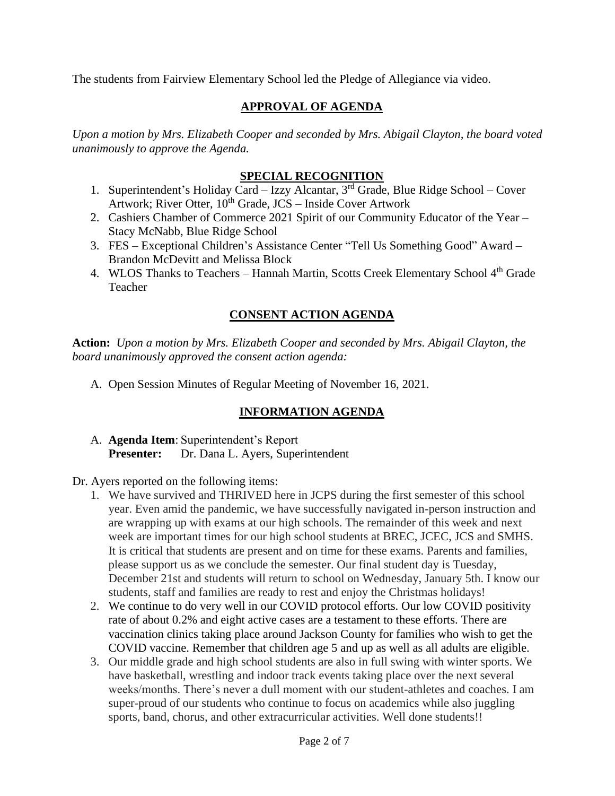The students from Fairview Elementary School led the Pledge of Allegiance via video.

## **APPROVAL OF AGENDA**

*Upon a motion by Mrs. Elizabeth Cooper and seconded by Mrs. Abigail Clayton, the board voted unanimously to approve the Agenda.*

## **SPECIAL RECOGNITION**

- 1. Superintendent's Holiday Card Izzy Alcantar,  $3<sup>rd</sup>$  Grade, Blue Ridge School Cover Artwork; River Otter,  $10^{th}$  Grade, JCS – Inside Cover Artwork
- 2. Cashiers Chamber of Commerce 2021 Spirit of our Community Educator of the Year Stacy McNabb, Blue Ridge School
- 3. FES Exceptional Children's Assistance Center "Tell Us Something Good" Award Brandon McDevitt and Melissa Block
- 4. WLOS Thanks to Teachers Hannah Martin, Scotts Creek Elementary School 4<sup>th</sup> Grade Teacher

# **CONSENT ACTION AGENDA**

**Action:** *Upon a motion by Mrs. Elizabeth Cooper and seconded by Mrs. Abigail Clayton, the board unanimously approved the consent action agenda:*

A. Open Session Minutes of Regular Meeting of November 16, 2021.

# **INFORMATION AGENDA**

- A. **Agenda Item**: Superintendent's Report **Presenter:** Dr. Dana L. Ayers, Superintendent
- Dr. Ayers reported on the following items:
	- 1. We have survived and THRIVED here in JCPS during the first semester of this school year. Even amid the pandemic, we have successfully navigated in-person instruction and are wrapping up with exams at our high schools. The remainder of this week and next week are important times for our high school students at BREC, JCEC, JCS and SMHS. It is critical that students are present and on time for these exams. Parents and families, please support us as we conclude the semester. Our final student day is Tuesday, December 21st and students will return to school on Wednesday, January 5th. I know our students, staff and families are ready to rest and enjoy the Christmas holidays!
	- 2. We continue to do very well in our COVID protocol efforts. Our low COVID positivity rate of about 0.2% and eight active cases are a testament to these efforts. There are vaccination clinics taking place around Jackson County for families who wish to get the COVID vaccine. Remember that children age 5 and up as well as all adults are eligible.
	- 3. Our middle grade and high school students are also in full swing with winter sports. We have basketball, wrestling and indoor track events taking place over the next several weeks/months. There's never a dull moment with our student-athletes and coaches. I am super-proud of our students who continue to focus on academics while also juggling sports, band, chorus, and other extracurricular activities. Well done students!!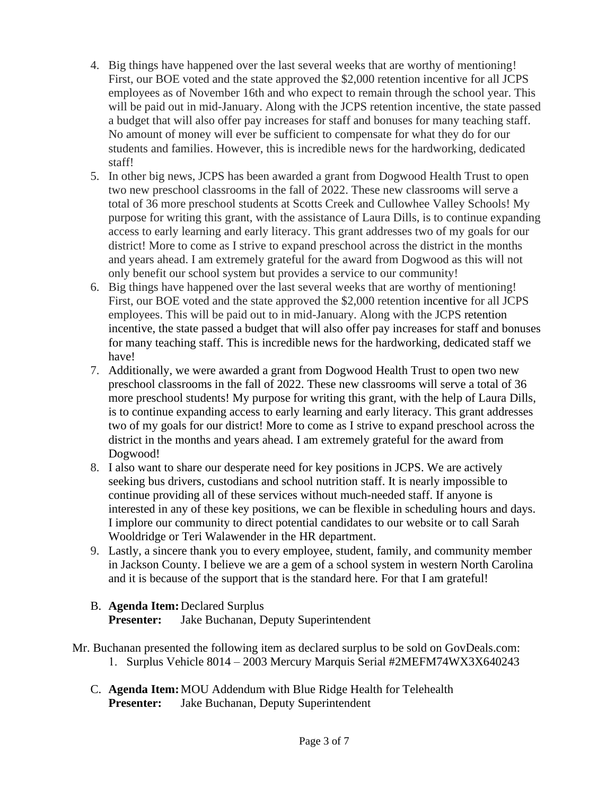- 4. Big things have happened over the last several weeks that are worthy of mentioning! First, our BOE voted and the state approved the \$2,000 retention incentive for all JCPS employees as of November 16th and who expect to remain through the school year. This will be paid out in mid-January. Along with the JCPS retention incentive, the state passed a budget that will also offer pay increases for staff and bonuses for many teaching staff. No amount of money will ever be sufficient to compensate for what they do for our students and families. However, this is incredible news for the hardworking, dedicated staff!
- 5. In other big news, JCPS has been awarded a grant from Dogwood Health Trust to open two new preschool classrooms in the fall of 2022. These new classrooms will serve a total of 36 more preschool students at Scotts Creek and Cullowhee Valley Schools! My purpose for writing this grant, with the assistance of Laura Dills, is to continue expanding access to early learning and early literacy. This grant addresses two of my goals for our district! More to come as I strive to expand preschool across the district in the months and years ahead. I am extremely grateful for the award from Dogwood as this will not only benefit our school system but provides a service to our community!
- 6. Big things have happened over the last several weeks that are worthy of mentioning! First, our BOE voted and the state approved the \$2,000 retention incentive for all JCPS employees. This will be paid out to in mid-January. Along with the JCPS retention incentive, the state passed a budget that will also offer pay increases for staff and bonuses for many teaching staff. This is incredible news for the hardworking, dedicated staff we have!
- 7. Additionally, we were awarded a grant from Dogwood Health Trust to open two new preschool classrooms in the fall of 2022. These new classrooms will serve a total of 36 more preschool students! My purpose for writing this grant, with the help of Laura Dills, is to continue expanding access to early learning and early literacy. This grant addresses two of my goals for our district! More to come as I strive to expand preschool across the district in the months and years ahead. I am extremely grateful for the award from Dogwood!
- 8. I also want to share our desperate need for key positions in JCPS. We are actively seeking bus drivers, custodians and school nutrition staff. It is nearly impossible to continue providing all of these services without much-needed staff. If anyone is interested in any of these key positions, we can be flexible in scheduling hours and days. I implore our community to direct potential candidates to our website or to call Sarah Wooldridge or Teri Walawender in the HR department.
- 9. Lastly, a sincere thank you to every employee, student, family, and community member in Jackson County. I believe we are a gem of a school system in western North Carolina and it is because of the support that is the standard here. For that I am grateful!

# B. **Agenda Item:**Declared Surplus **Presenter:** Jake Buchanan, Deputy Superintendent

- Mr. Buchanan presented the following item as declared surplus to be sold on GovDeals.com: 1. Surplus Vehicle 8014 – 2003 Mercury Marquis Serial #2MEFM74WX3X640243
	- C. **Agenda Item:**MOU Addendum with Blue Ridge Health for Telehealth **Presenter:** Jake Buchanan, Deputy Superintendent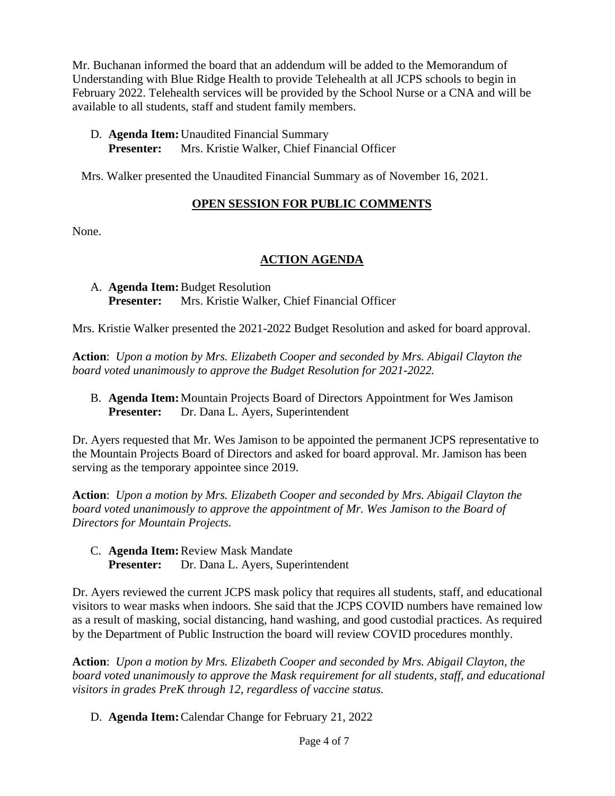Mr. Buchanan informed the board that an addendum will be added to the Memorandum of Understanding with Blue Ridge Health to provide Telehealth at all JCPS schools to begin in February 2022. Telehealth services will be provided by the School Nurse or a CNA and will be available to all students, staff and student family members.

- D. **Agenda Item:**Unaudited Financial Summary
	- **Presenter:** Mrs. Kristie Walker, Chief Financial Officer

Mrs. Walker presented the Unaudited Financial Summary as of November 16, 2021.

# **OPEN SESSION FOR PUBLIC COMMENTS**

None.

# **ACTION AGENDA**

## A. **Agenda Item:**Budget Resolution **Presenter:** Mrs. Kristie Walker, Chief Financial Officer

Mrs. Kristie Walker presented the 2021-2022 Budget Resolution and asked for board approval.

**Action**: *Upon a motion by Mrs. Elizabeth Cooper and seconded by Mrs. Abigail Clayton the board voted unanimously to approve the Budget Resolution for 2021-2022.*

B. **Agenda Item:**Mountain Projects Board of Directors Appointment for Wes Jamison **Presenter:** Dr. Dana L. Ayers, Superintendent

Dr. Ayers requested that Mr. Wes Jamison to be appointed the permanent JCPS representative to the Mountain Projects Board of Directors and asked for board approval. Mr. Jamison has been serving as the temporary appointee since 2019.

**Action**: *Upon a motion by Mrs. Elizabeth Cooper and seconded by Mrs. Abigail Clayton the board voted unanimously to approve the appointment of Mr. Wes Jamison to the Board of Directors for Mountain Projects.*

C. **Agenda Item:**Review Mask Mandate **Presenter:** Dr. Dana L. Ayers, Superintendent

Dr. Ayers reviewed the current JCPS mask policy that requires all students, staff, and educational visitors to wear masks when indoors. She said that the JCPS COVID numbers have remained low as a result of masking, social distancing, hand washing, and good custodial practices. As required by the Department of Public Instruction the board will review COVID procedures monthly.

**Action**: *Upon a motion by Mrs. Elizabeth Cooper and seconded by Mrs. Abigail Clayton, the board voted unanimously to approve the Mask requirement for all students, staff, and educational visitors in grades PreK through 12, regardless of vaccine status.*

D. **Agenda Item:**Calendar Change for February 21, 2022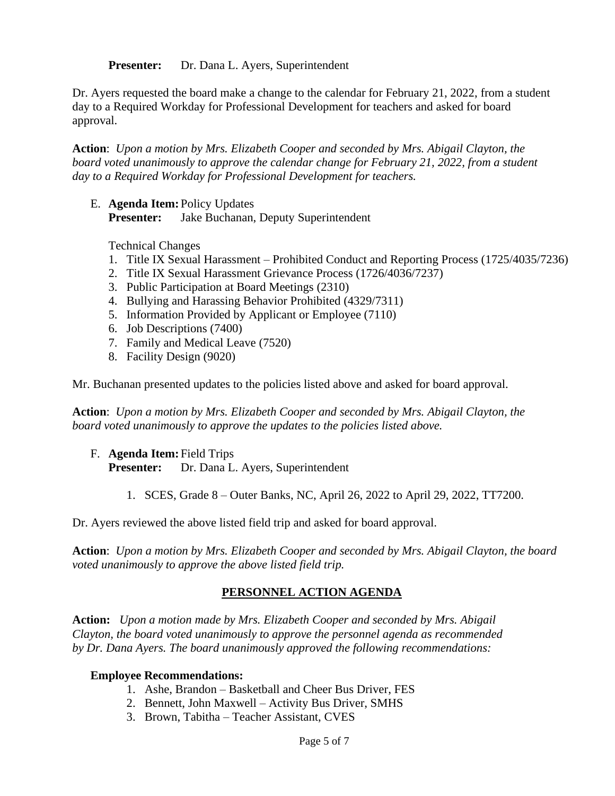**Presenter:** Dr. Dana L. Ayers, Superintendent

Dr. Ayers requested the board make a change to the calendar for February 21, 2022, from a student day to a Required Workday for Professional Development for teachers and asked for board approval.

**Action**: *Upon a motion by Mrs. Elizabeth Cooper and seconded by Mrs. Abigail Clayton, the board voted unanimously to approve the calendar change for February 21, 2022, from a student day to a Required Workday for Professional Development for teachers.*

E. **Agenda Item:** Policy Updates **Presenter:** Jake Buchanan, Deputy Superintendent

Technical Changes

- 1. Title IX Sexual Harassment Prohibited Conduct and Reporting Process (1725/4035/7236)
- 2. Title IX Sexual Harassment Grievance Process (1726/4036/7237)
- 3. Public Participation at Board Meetings (2310)
- 4. Bullying and Harassing Behavior Prohibited (4329/7311)
- 5. Information Provided by Applicant or Employee (7110)
- 6. Job Descriptions (7400)
- 7. Family and Medical Leave (7520)
- 8. Facility Design (9020)

Mr. Buchanan presented updates to the policies listed above and asked for board approval.

**Action**: *Upon a motion by Mrs. Elizabeth Cooper and seconded by Mrs. Abigail Clayton, the board voted unanimously to approve the updates to the policies listed above.*

- F. **Agenda Item:** Field Trips **Presenter:** Dr. Dana L. Ayers, Superintendent
	- 1. SCES, Grade 8 Outer Banks, NC, April 26, 2022 to April 29, 2022, TT7200.

Dr. Ayers reviewed the above listed field trip and asked for board approval.

**Action**: *Upon a motion by Mrs. Elizabeth Cooper and seconded by Mrs. Abigail Clayton, the board voted unanimously to approve the above listed field trip.*

### **PERSONNEL ACTION AGENDA**

**Action:** *Upon a motion made by Mrs. Elizabeth Cooper and seconded by Mrs. Abigail Clayton, the board voted unanimously to approve the personnel agenda as recommended by Dr. Dana Ayers. The board unanimously approved the following recommendations:*

#### **Employee Recommendations:**

- 1. Ashe, Brandon Basketball and Cheer Bus Driver, FES
- 2. Bennett, John Maxwell Activity Bus Driver, SMHS
- 3. Brown, Tabitha Teacher Assistant, CVES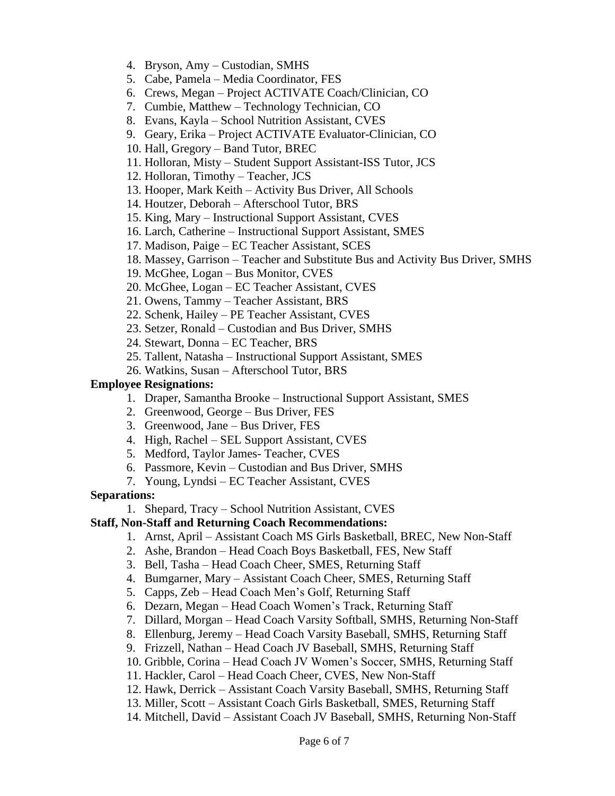- 4. Bryson, Amy Custodian, SMHS
- 5. Cabe, Pamela Media Coordinator, FES
- 6. Crews, Megan Project ACTIVATE Coach/Clinician, CO
- 7. Cumbie, Matthew Technology Technician, CO
- 8. Evans, Kayla School Nutrition Assistant, CVES
- 9. Geary, Erika Project ACTIVATE Evaluator-Clinician, CO
- 10. Hall, Gregory Band Tutor, BREC
- 11. Holloran, Misty Student Support Assistant-ISS Tutor, JCS
- 12. Holloran, Timothy Teacher, JCS
- 13. Hooper, Mark Keith Activity Bus Driver, All Schools
- 14. Houtzer, Deborah Afterschool Tutor, BRS
- 15. King, Mary Instructional Support Assistant, CVES
- 16. Larch, Catherine Instructional Support Assistant, SMES
- 17. Madison, Paige EC Teacher Assistant, SCES
- 18. Massey, Garrison Teacher and Substitute Bus and Activity Bus Driver, SMHS
- 19. McGhee, Logan Bus Monitor, CVES
- 20. McGhee, Logan EC Teacher Assistant, CVES
- 21. Owens, Tammy Teacher Assistant, BRS
- 22. Schenk, Hailey PE Teacher Assistant, CVES
- 23. Setzer, Ronald Custodian and Bus Driver, SMHS
- 24. Stewart, Donna EC Teacher, BRS
- 25. Tallent, Natasha Instructional Support Assistant, SMES
- 26. Watkins, Susan Afterschool Tutor, BRS

#### **Employee Resignations:**

- 1. Draper, Samantha Brooke Instructional Support Assistant, SMES
- 2. Greenwood, George Bus Driver, FES
- 3. Greenwood, Jane Bus Driver, FES
- 4. High, Rachel SEL Support Assistant, CVES
- 5. Medford, Taylor James- Teacher, CVES
- 6. Passmore, Kevin Custodian and Bus Driver, SMHS
- 7. Young, Lyndsi EC Teacher Assistant, CVES

### **Separations:**

1. Shepard, Tracy – School Nutrition Assistant, CVES

## **Staff, Non-Staff and Returning Coach Recommendations:**

- 1. Arnst, April Assistant Coach MS Girls Basketball, BREC, New Non-Staff
- 2. Ashe, Brandon Head Coach Boys Basketball, FES, New Staff
- 3. Bell, Tasha Head Coach Cheer, SMES, Returning Staff
- 4. Bumgarner, Mary Assistant Coach Cheer, SMES, Returning Staff
- 5. Capps, Zeb Head Coach Men's Golf, Returning Staff
- 6. Dezarn, Megan Head Coach Women's Track, Returning Staff
- 7. Dillard, Morgan Head Coach Varsity Softball, SMHS, Returning Non-Staff
- 8. Ellenburg, Jeremy Head Coach Varsity Baseball, SMHS, Returning Staff
- 9. Frizzell, Nathan Head Coach JV Baseball, SMHS, Returning Staff
- 10. Gribble, Corina Head Coach JV Women's Soccer, SMHS, Returning Staff
- 11. Hackler, Carol Head Coach Cheer, CVES, New Non-Staff
- 12. Hawk, Derrick Assistant Coach Varsity Baseball, SMHS, Returning Staff
- 13. Miller, Scott Assistant Coach Girls Basketball, SMES, Returning Staff
- 14. Mitchell, David Assistant Coach JV Baseball, SMHS, Returning Non-Staff